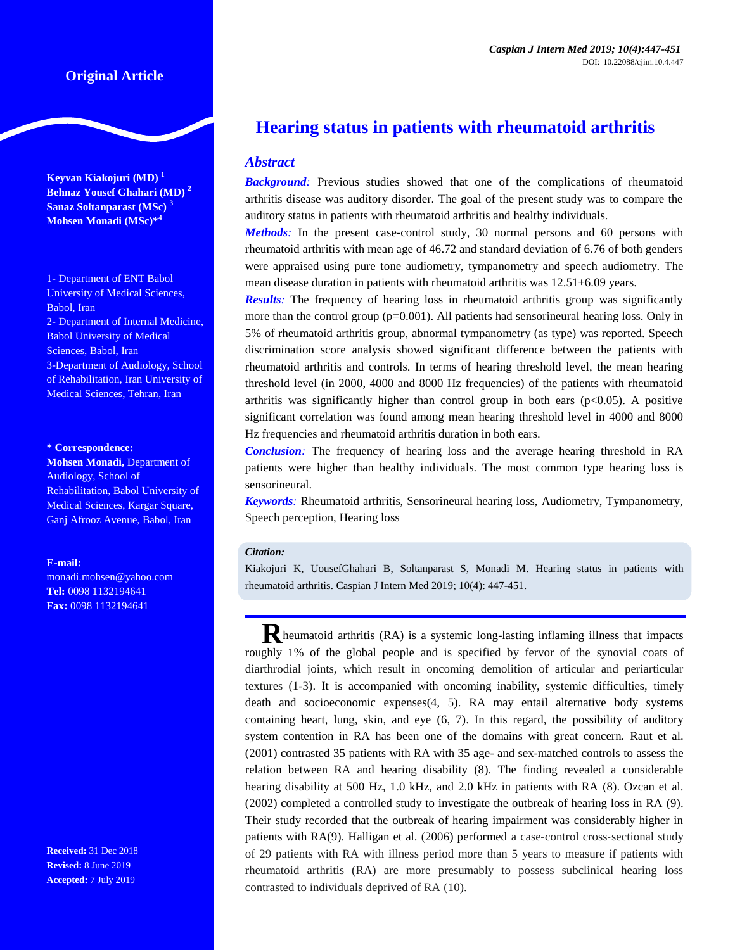# **Original Article**

**Keyvan Kiakojuri (MD) <sup>1</sup> Behnaz Yousef Ghahari (MD) <sup>2</sup> Sanaz Soltanparast (MSc) <sup>3</sup> Mohsen Monadi (MSc)\*<sup>4</sup>**

1- Department of ENT Babol University of Medical Sciences, Babol, Iran 2- Department of Internal Medicine, Babol University of Medical Sciences, Babol, Iran 3-Department of Audiology, School of Rehabilitation, Iran University of Medical Sciences, Tehran, Iran

#### **\* Correspondence:**

**Mohsen Monadi,** Department of Audiology, School of Rehabilitation, Babol University of Medical Sciences, Kargar Square, Ganj Afrooz Avenue, Babol, Iran

#### **E-mail:**

monadi.mohsen@yahoo.com **Tel:** 0098 1132194641 **Fax:** 0098 1132194641

**Received:** 31 Dec 2018 **Revised:** 8 June 2019 **Accepted:** 7 July 2019

# **Hearing status in patients with rheumatoid arthritis**

### *Abstract*

*Background:* Previous studies showed that one of the complications of rheumatoid arthritis disease was auditory disorder. The goal of the present study was to compare the auditory status in patients with rheumatoid arthritis and healthy individuals.

*Methods:* In the present case-control study, 30 normal persons and 60 persons with rheumatoid arthritis with mean age of 46.72 and standard deviation of 6.76 of both genders were appraised using pure tone audiometry, tympanometry and speech audiometry. The mean disease duration in patients with rheumatoid arthritis was  $12.51\pm6.09$  years.

*Results*: The frequency of hearing loss in rheumatoid arthritis group was significantly more than the control group  $(p=0.001)$ . All patients had sensorineural hearing loss. Only in 5% of rheumatoid arthritis group, abnormal tympanometry (as type) was reported. Speech discrimination score analysis showed significant difference between the patients with rheumatoid arthritis and controls. In terms of hearing threshold level, the mean hearing threshold level (in 2000, 4000 and 8000 Hz frequencies) of the patients with rheumatoid arthritis was significantly higher than control group in both ears  $(p<0.05)$ . A positive significant correlation was found among mean hearing threshold level in 4000 and 8000 Hz frequencies and rheumatoid arthritis duration in both ears.

*Conclusion:* The frequency of hearing loss and the average hearing threshold in RA patients were higher than healthy individuals. The most common type hearing loss is sensorineural.

*Keywords:* Rheumatoid arthritis, Sensorineural hearing loss, Audiometry, Tympanometry, Speech perception, Hearing loss

#### *Citation:*

Kiakojuri K, UousefGhahari B, Soltanparast S, Monadi M. Hearing status in patients with rheumatoid arthritis. Caspian J Intern Med 2019; 10(4): 447-451.

**R**heumatoid arthritis (RA) is a systemic long-lasting inflaming illness that impacts roughly 1% of the global people and is specified by fervor of the synovial coats of diarthrodial joints, which result in oncoming demolition of articular and periarticular textures [\(1-3\)](#page-3-0). It is accompanied with oncoming inability, systemic difficulties, timely death and socioeconomic expenses[\(4,](#page-3-1) [5\)](#page-3-2). RA may entail alternative body systems containing heart, lung, skin, and eye [\(6,](#page-3-3) [7\)](#page-3-4). In this regard, the possibility of auditory system contention in RA has been one of the domains with great concern. Raut et al. (2001) contrasted 35 patients with RA with 35 age- and sex-matched controls to assess the relation between RA and hearing disability [\(8\)](#page-3-5). The finding revealed a considerable hearing disability at 500 Hz, 1.0 kHz, and 2.0 kHz in patients with RA [\(8\)](#page-3-5). Ozcan et al. (2002) completed a controlled study to investigate the outbreak of hearing loss in RA [\(9\)](#page-3-6). Their study recorded that the outbreak of hearing impairment was considerably higher in patients with RA[\(9\)](#page-3-6). Halligan et al. (2006) performed a case-control cross-sectional study of 29 patients with RA with illness period more than 5 years to measure if patients with rheumatoid arthritis (RA) are more presumably to possess subclinical hearing loss contrasted to individuals deprived of RA [\(10\)](#page-3-7).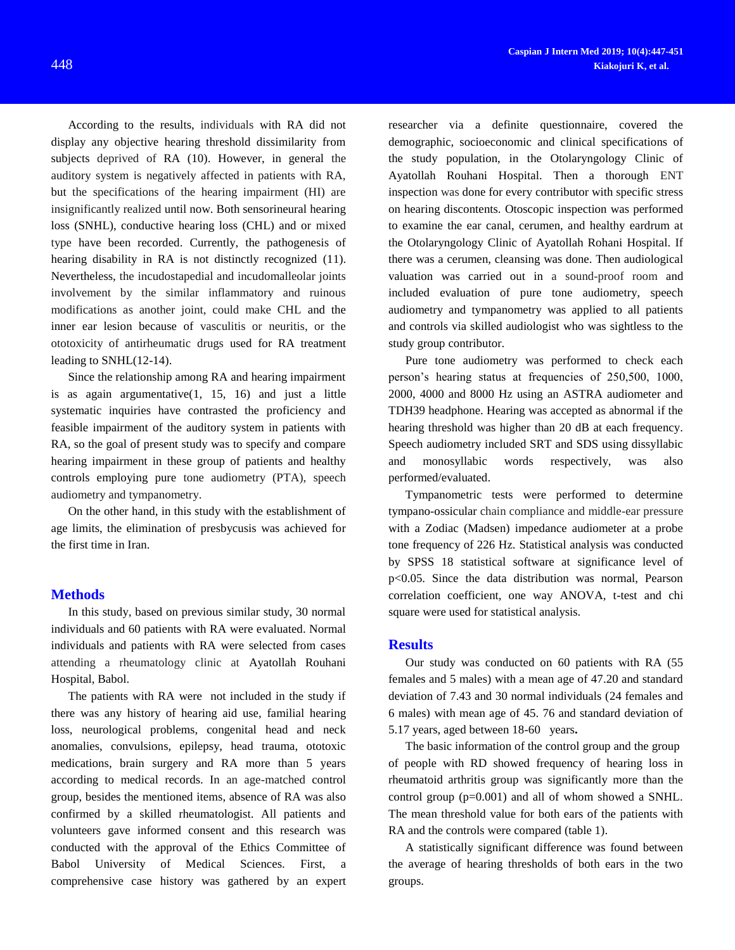According to the results, individuals with RA did not display any objective hearing threshold dissimilarity from subjects deprived of RA [\(10\)](#page-3-7). However, in general the auditory system is negatively affected in patients with RA, but the specifications of the hearing impairment (HI) are insignificantly realized until now. Both sensorineural hearing loss (SNHL), conductive hearing loss (CHL) and or mixed type have been recorded. Currently, the pathogenesis of hearing disability in RA is not distinctly recognized [\(11\)](#page-3-8). Nevertheless, the incudostapedial and incudomalleolar joints involvement by the similar inflammatory and ruinous modifications as another joint, could make CHL and the inner ear lesion because of vasculitis or neuritis, or the ototoxicity of antirheumatic drugs used for RA treatment leading to SNHL[\(12-14\)](#page-3-9).

Since the relationship among RA and hearing impairment is as again argumentative $(1, 15, 16)$  $(1, 15, 16)$  $(1, 15, 16)$  $(1, 15, 16)$  $(1, 15, 16)$  and just a little systematic inquiries have contrasted the proficiency and feasible impairment of the auditory system in patients with RA, so the goal of present study was to specify and compare hearing impairment in these group of patients and healthy controls employing pure tone audiometry (PTA), speech audiometry and tympanometry.

On the other hand, in this study with the establishment of age limits, the elimination of presbycusis was achieved for the first time in Iran.

#### **Methods**

In this study, based on previous similar study, 30 normal individuals and 60 patients with RA were evaluated. Normal individuals and patients with RA were selected from cases attending a rheumatology clinic at Ayatollah Rouhani Hospital, Babol.

The patients with RA were not included in the study if there was any history of hearing aid use, familial hearing loss, neurological problems, congenital head and neck anomalies, convulsions, epilepsy, head trauma, ototoxic medications, brain surgery and RA more than 5 years according to medical records. In an age-matched control group, besides the mentioned items, absence of RA was also confirmed by a skilled rheumatologist. All patients and volunteers gave informed consent and this research was conducted with the approval of the Ethics Committee of Babol University of Medical Sciences. First, a comprehensive case history was gathered by an expert researcher via a definite questionnaire, covered the demographic, socioeconomic and clinical specifications of the study population, in the Otolaryngology Clinic of Ayatollah Rouhani Hospital. Then a thorough ENT inspection was done for every contributor with specific stress on hearing discontents. Otoscopic inspection was performed to examine the ear canal, cerumen, and healthy eardrum at the Otolaryngology Clinic of Ayatollah Rohani Hospital. If there was a cerumen, cleansing was done. Then audiological valuation was carried out in a sound-proof room and included evaluation of pure tone audiometry, speech audiometry and tympanometry was applied to all patients and controls via skilled audiologist who was sightless to the study group contributor.

Pure tone audiometry was performed to check each person's hearing status at frequencies of 250,500, 1000, 2000, 4000 and 8000 Hz using an ASTRA audiometer and TDH39 headphone. Hearing was accepted as abnormal if the hearing threshold was higher than 20 dB at each frequency. Speech audiometry included SRT and SDS using dissyllabic and monosyllabic words respectively, was also performed/evaluated.

Tympanometric tests were performed to determine tympano-ossicular chain compliance and middle-ear pressure with a Zodiac (Madsen) impedance audiometer at a probe tone frequency of 226 Hz. Statistical analysis was conducted by SPSS 18 statistical software at significance level of p<0.05. Since the data distribution was normal, Pearson correlation coefficient, one way ANOVA, t-test and chi square were used for statistical analysis.

#### **Results**

Our study was conducted on 60 patients with RA (55 females and 5 males) with a mean age of 47.20 and standard deviation of 7.43 and 30 normal individuals (24 females and 6 males) with mean age of 45. 76 and standard deviation of 5.17 years, aged between 18-60 years**.**

The basic information of the control group and the group of people with RD showed frequency of hearing loss in rheumatoid arthritis group was significantly more than the control group (p=0.001) and all of whom showed a SNHL. The mean threshold value for both ears of the patients with RA and the controls were compared (table 1).

A statistically significant difference was found between the average of hearing thresholds of both ears in the two groups.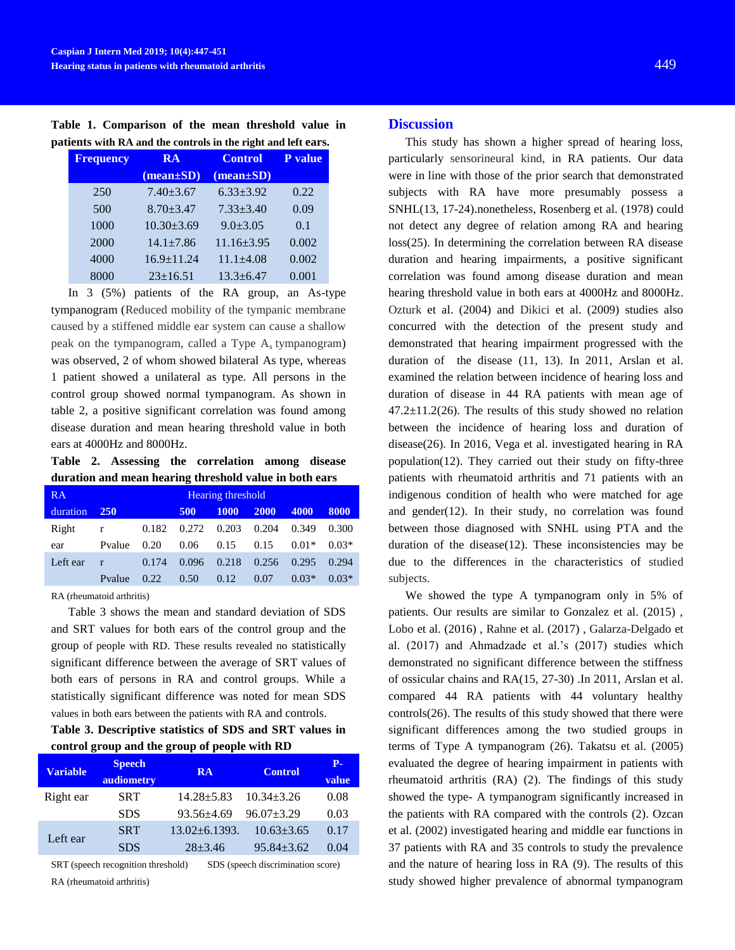**Table 1. Comparison of the mean threshold value in patients with RA and the controls in the right and left ears.**

| <b>Frequency</b> | <b>RA</b>        | <b>Control</b>   | <b>P</b> value |
|------------------|------------------|------------------|----------------|
|                  | $(mean \pm SD)$  | $(mean \pm SD)$  |                |
| 250              | $7.40 + 3.67$    | $6.33 \pm 3.92$  | 0.22           |
| 500              | $8.70 + 3.47$    | $7.33 + 3.40$    | 0.09           |
| 1000             | $10.30 + 3.69$   | $9.0 + 3.05$     | 0.1            |
| 2000             | $14.1 \pm 7.86$  | $11.16 \pm 3.95$ | 0.002          |
| 4000             | $16.9 \pm 11.24$ | $11.1 + 4.08$    | 0.002          |
| 8000             | $23 \pm 16.51$   | $13.3 + 6.47$    | 0.001          |

In 3 (5%) patients of the RA group, an As-type tympanogram (Reduced mobility of the tympanic membrane caused by a stiffened middle ear system can cause a shallow peak on the tympanogram, called a Type A<sub>s</sub> tympanogram) was observed, 2 of whom showed bilateral As type, whereas 1 patient showed a unilateral as type. All persons in the control group showed normal tympanogram. As shown in table 2, a positive significant correlation was found among disease duration and mean hearing threshold value in both ears at 4000Hz and 8000Hz.

**Table 2. Assessing the correlation among disease duration and mean hearing threshold value in both ears**

| RA       | <b>Hearing threshold</b> |       |       |             |       |         |         |
|----------|--------------------------|-------|-------|-------------|-------|---------|---------|
| duration | <b>250</b>               |       | 500   | <b>1000</b> | 2000  | 4000    | 8000    |
| Right    | r                        | 0.182 | 0.272 | 0.203       | 0.204 | 0.349   | 0.300   |
| ear      | Pvalue                   | 0.20  | 0.06  | 0.15        | 0.15  | $0.01*$ | $0.03*$ |
| Left ear | $\mathbf{r}$             | 0.174 | 0.096 | 0.218       | 0.256 | 0.295   | 0.294   |
|          | Pvalue                   | 0.22  | 0.50  | 0.12        | 0.07  | $0.03*$ | $0.03*$ |

RA (rheumatoid arthritis)

Table 3 shows the mean and standard deviation of SDS and SRT values for both ears of the control group and the group of people with RD. These results revealed no statistically significant difference between the average of SRT values of both ears of persons in RA and control groups. While a statistically significant difference was noted for mean SDS values in both ears between the patients with RA and controls.

# **Table 3. Descriptive statistics of SDS and SRT values in control group and the group of people with RD**

| <b>Variable</b> | <b>Speech</b><br>audiometry | <b>RA</b>           | <b>Control</b>   | р.<br>value |
|-----------------|-----------------------------|---------------------|------------------|-------------|
| Right ear       | <b>SRT</b>                  | $14.28 \pm 5.83$    | $10.34 + 3.26$   | 0.08        |
|                 | <b>SDS</b>                  | $93.56 \pm 4.69$    | $96.07 + 3.29$   | 0.03        |
| Left ear        | <b>SRT</b>                  | $13.02 \pm 6.1393.$ | $10.63 \pm 3.65$ | 0.17        |
|                 | <b>SDS</b>                  | $28 + 3.46$         | $95.84 \pm 3.62$ | 0.04        |

SRT (speech recognition threshold) SDS (speech discrimination score)

RA (rheumatoid arthritis)

## **Discussion**

This study has shown a higher spread of hearing loss, particularly sensorineural kind, in RA patients. Our data were in line with those of the prior search that demonstrated subjects with RA have more presumably possess a SNHL[\(13,](#page-3-11) [17-24\)](#page-4-1).nonetheless, Rosenberg et al. (1978) could not detect any degree of relation among RA and hearing loss[\(25\)](#page-4-2). In determining the correlation between RA disease duration and hearing impairments, a positive significant correlation was found among disease duration and mean hearing threshold value in both ears at 4000Hz and 8000Hz. Ozturk et al. (2004) and Dikici et al. (2009) studies also concurred with the detection of the present study and demonstrated that hearing impairment progressed with the duration of the disease [\(11,](#page-3-8) [13\)](#page-3-11). In 2011, Arslan et al. examined the relation between incidence of hearing loss and duration of disease in 44 RA patients with mean age of  $47.2 \pm 11.2(26)$  $47.2 \pm 11.2(26)$ . The results of this study showed no relation between the incidence of hearing loss and duration of disease[\(26\)](#page-4-3). In 2016, Vega et al. investigated hearing in RA population[\(12\)](#page-3-9). They carried out their study on fifty-three patients with rheumatoid arthritis and 71 patients with an indigenous condition of health who were matched for age and gender $(12)$ . In their study, no correlation was found between those diagnosed with SNHL using PTA and the duration of the disease $(12)$ . These inconsistencies may be due to the differences in the characteristics of studied subjects.

We showed the type A tympanogram only in 5% of patients. Our results are similar to Gonzalez et al. (2015) , Lobo et al. (2016) , Rahne et al. (2017) , Galarza-Delgado et al. (2017) and Ahmadzade et al.'s (2017) studies which demonstrated no significant difference between the stiffness of ossicular chains and RA[\(15,](#page-3-10) [27-30\)](#page-4-4) .In 2011, Arslan et al. compared 44 RA patients with 44 voluntary healthy controls[\(26\)](#page-4-3). The results of this study showed that there were significant differences among the two studied groups in terms of Type A tympanogram [\(26\)](#page-4-3). Takatsu et al. (2005) evaluated the degree of hearing impairment in patients with rheumatoid arthritis (RA) [\(2\)](#page-3-12). The findings of this study showed the type- A tympanogram significantly increased in the patients with RA compared with the controls [\(2\)](#page-3-12). Ozcan et al. (2002) investigated hearing and middle ear functions in 37 patients with RA and 35 controls to study the prevalence and the nature of hearing loss in RA [\(9\)](#page-3-6). The results of this study showed higher prevalence of abnormal tympanogram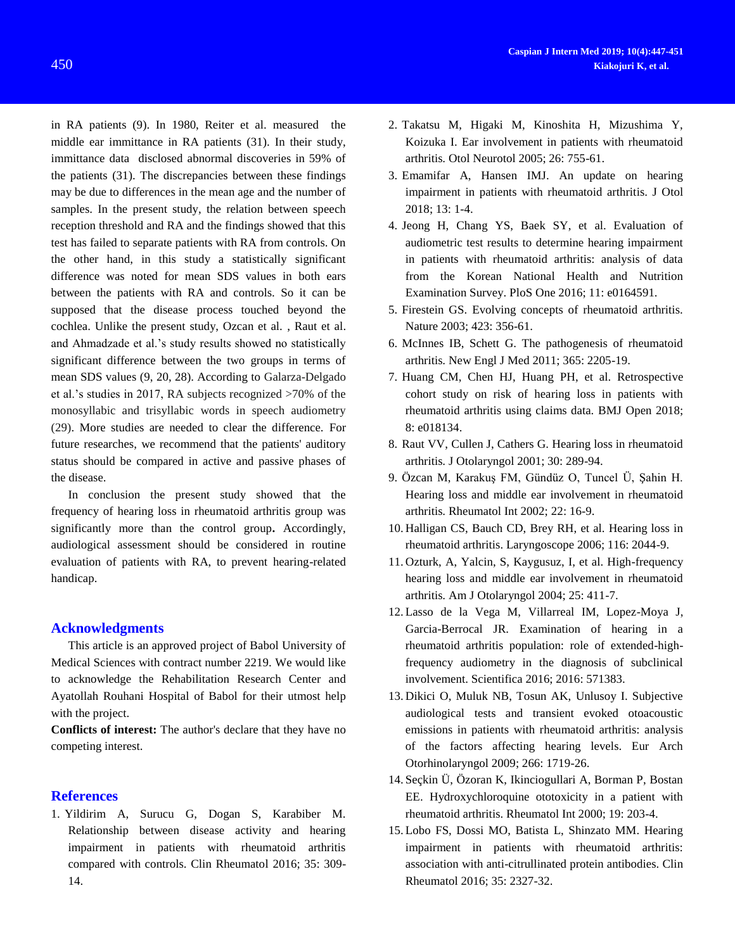in RA patients [\(9\)](#page-3-6). In 1980, Reiter et al. measured the middle ear immittance in RA patients (31). In their study, immittance data disclosed abnormal discoveries in 59% of the patients (31). The discrepancies between these findings may be due to differences in the mean age and the number of samples. In the present study, the relation between speech reception threshold and RA and the findings showed that this test has failed to separate patients with RA from controls. On the other hand, in this study a statistically significant difference was noted for mean SDS values in both ears between the patients with RA and controls. So it can be supposed that the disease process touched beyond the cochlea. Unlike the present study, Ozcan et al. , Raut et al. and Ahmadzade et al.'s study results showed no statistically significant difference between the two groups in terms of mean SDS values [\(9,](#page-3-6) [20,](#page-4-5) [28\)](#page-4-6). According to Galarza-Delgado et al.'s studies in 2017, RA subjects recognized >70% of the monosyllabic and trisyllabic words in speech audiometry [\(29\)](#page-4-7). More studies are needed to clear the difference. For future researches, we recommend that the patients' auditory status should be compared in active and passive phases of the disease.

In conclusion the present study showed that the frequency of hearing loss in rheumatoid arthritis group was significantly more than the control group**.** Accordingly, audiological assessment should be considered in routine evaluation of patients with RA, to prevent hearing-related handicap.

### **Acknowledgments**

This article is an approved project of Babol University of Medical Sciences with contract number 2219. We would like to acknowledge the Rehabilitation Research Center and Ayatollah Rouhani Hospital of Babol for their utmost help with the project.

**Conflicts of interest:** The author's declare that they have no competing interest.

## **References**

<span id="page-3-0"></span>1. Yildirim A, Surucu G, Dogan S, Karabiber M. Relationship between disease activity and hearing impairment in patients with rheumatoid arthritis compared with controls. Clin Rheumatol 2016; 35: 309- 14.

- <span id="page-3-12"></span>2. Takatsu M, Higaki M, Kinoshita H, Mizushima Y, Koizuka I. Ear involvement in patients with rheumatoid arthritis. Otol Neurotol 2005; 26: 755-61.
- 3. Emamifar A, Hansen IMJ. An update on hearing impairment in patients with rheumatoid arthritis. J Otol 2018; 13: 1-4.
- <span id="page-3-1"></span>4. Jeong H, Chang YS, Baek SY, et al. Evaluation of audiometric test results to determine hearing impairment in patients with rheumatoid arthritis: analysis of data from the Korean National Health and Nutrition Examination Survey. PloS One 2016; 11: e0164591.
- <span id="page-3-2"></span>5. Firestein GS. Evolving concepts of rheumatoid arthritis. Nature 2003; 423: 356-61.
- <span id="page-3-3"></span>6. McInnes IB, Schett G. The pathogenesis of rheumatoid arthritis. New Engl J Med 2011; 365: 2205-19.
- <span id="page-3-4"></span>7. Huang CM, Chen HJ, Huang PH, et al. Retrospective cohort study on risk of hearing loss in patients with rheumatoid arthritis using claims data. BMJ Open 2018; 8: e018134.
- <span id="page-3-5"></span>8. Raut VV, Cullen J, Cathers G. Hearing loss in rheumatoid arthritis. J Otolaryngol 2001; 30: 289-94.
- <span id="page-3-6"></span>9. Özcan M, Karakuş FM, Gündüz O, Tuncel Ü, Şahin H. Hearing loss and middle ear involvement in rheumatoid arthritis. Rheumatol Int 2002; 22: 16-9.
- <span id="page-3-7"></span>10. Halligan CS, Bauch CD, Brey RH, et al. Hearing loss in rheumatoid arthritis. Laryngoscope 2006; 116: 2044-9.
- <span id="page-3-8"></span>11. Ozturk, A, Yalcin, S, Kaygusuz, I, et al. High-frequency hearing loss and middle ear involvement in rheumatoid arthritis. Am J Otolaryngol 2004; 25: 411-7.
- <span id="page-3-9"></span>12. Lasso de la Vega M, Villarreal IM, Lopez-Moya J, Garcia-Berrocal JR. Examination of hearing in a rheumatoid arthritis population: role of extended-highfrequency audiometry in the diagnosis of subclinical involvement. Scientifica 2016; 2016: 571383.
- <span id="page-3-11"></span>13. Dikici O, Muluk NB, Tosun AK, Unlusoy I. Subjective audiological tests and transient evoked otoacoustic emissions in patients with rheumatoid arthritis: analysis of the factors affecting hearing levels. Eur Arch Otorhinolaryngol 2009; 266: 1719-26.
- 14. Seçkin Ü, Özoran K, Ikinciogullari A, Borman P, Bostan EE. Hydroxychloroquine ototoxicity in a patient with rheumatoid arthritis. Rheumatol Int 2000; 19: 203-4.
- <span id="page-3-10"></span>15. Lobo FS, Dossi MO, Batista L, Shinzato MM. Hearing impairment in patients with rheumatoid arthritis: association with anti-citrullinated protein antibodies. Clin Rheumatol 2016; 35: 2327-32.